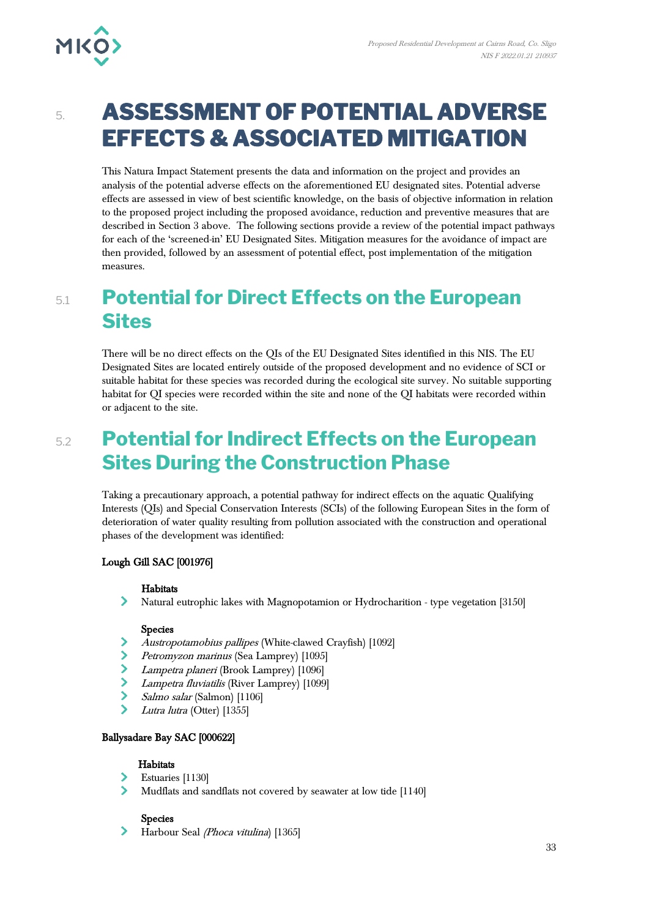# 5. **ASSESSMENT OF POTENTIAL ADVERSE EFFECTS & ASSOCIATED MITIGATION**

This Natura Impact Statement presents the data and information on the project and provides an analysis of the potential adverse effects on the aforementioned EU designated sites. Potential adverse effects are assessed in view of best scientific knowledge, on the basis of objective information in relation to the proposed project including the proposed avoidance, reduction and preventive measures that are described in Section 3 above. The following sections provide a review of the potential impact pathways for each of the 'screened-in' EU Designated Sites. Mitigation measures for the avoidance of impact are then provided, followed by an assessment of potential effect, post implementation of the mitigation measures.

## 5.1 **Potential for Direct Effects on the European Sites**

There will be no direct effects on the QIs of the EU Designated Sites identified in this NIS. The EU Designated Sites are located entirely outside of the proposed development and no evidence of SCI or suitable habitat for these species was recorded during the ecological site survey. No suitable supporting habitat for QI species were recorded within the site and none of the QI habitats were recorded within or adjacent to the site.

# 5.2 **Potential for Indirect Effects on the European Sites During the Construction Phase**

Taking a precautionary approach, a potential pathway for indirect effects on the aquatic Qualifying Interests (QIs) and Special Conservation Interests (SCIs) of the following European Sites in the form of deterioration of water quality resulting from pollution associated with the construction and operational phases of the development was identified:

### Lough Gill SAC [001976]

### **Habitats**

 $\blacktriangleright$ Natural eutrophic lakes with Magnopotamion or Hydrocharition - type vegetation [3150]

### Species

- Austropotamobius pallipes (White-clawed Crayfish) [1092]
- $\blacktriangleright$ Petromyzon marinus (Sea Lamprey) [1095]
- $\blacktriangleright$ Lampetra planeri (Brook Lamprey) [1096]
- $\mathbf{\lambda}$ Lampetra fluviatilis (River Lamprey) [1099]
- $\blacktriangleright$ Salmo salar (Salmon) [1106]
- Lutra lutra (Otter) [1355]

### Ballysadare Bay SAC [000622]

### **Habitats**

- Estuaries [1130]
- $\blacktriangleright$ Mudflats and sandflats not covered by seawater at low tide [1140]

### Species

 $\sum$ Harbour Seal (Phoca vitulina) [1365]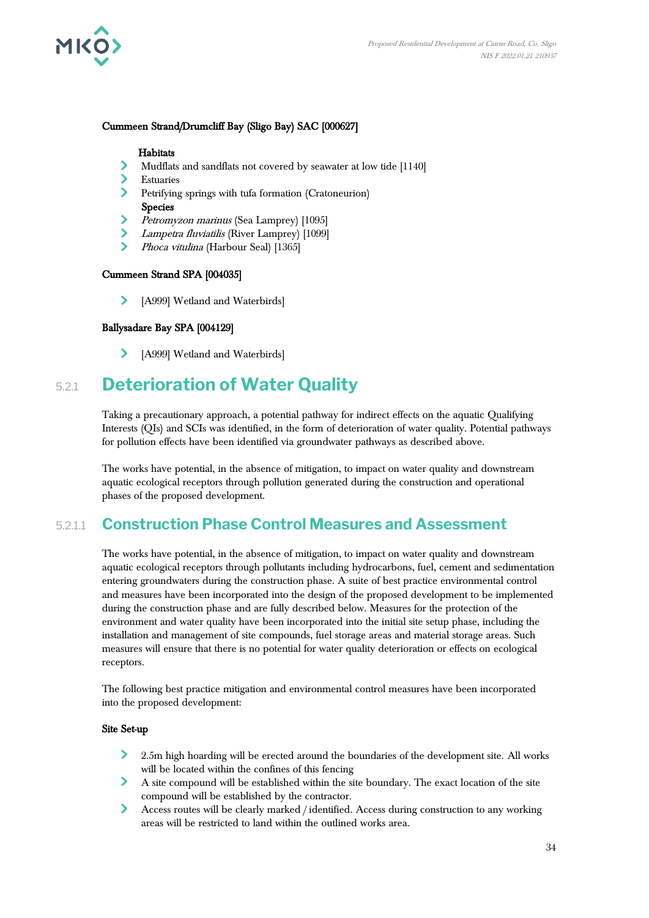

### Cummeen Strand/Drumcliff Bay (Sligo Bay) SAC [000627]

### **Habitats**

- Mudflats and sandflats not covered by seawater at low tide [1140]
- Estuaries
- Petrifying springs with tufa formation (Cratoneurion) Species<br>
> *Petrom*
- Petromyzon marinus (Sea Lamprey) [1095]
- Lampetra fluviatilis (River Lamprey) [1099]
- $\sum$ Phoca vitulina (Harbour Seal) [1365]

### Cummeen Strand SPA [004035]

> [A999] Wetland and Waterbirds]

### Ballysadare Bay SPA [004129]

[A999] Wetland and Waterbirds]  $\blacktriangleright$ 

### 5.2.1 **Deterioration of Water Quality**

Taking a precautionary approach, a potential pathway for indirect effects on the aquatic Qualifying Interests (QIs) and SCIs was identified, in the form of deterioration of water quality. Potential pathways for pollution effects have been identified via groundwater pathways as described above.

The works have potential, in the absence of mitigation, to impact on water quality and downstream aquatic ecological receptors through pollution generated during the construction and operational phases of the proposed development.

### 5.2.1.1 **Construction Phase Control Measures and Assessment**

The works have potential, in the absence of mitigation, to impact on water quality and downstream aquatic ecological receptors through pollutants including hydrocarbons, fuel, cement and sedimentation entering groundwaters during the construction phase. A suite of best practice environmental control and measures have been incorporated into the design of the proposed development to be implemented during the construction phase and are fully described below. Measures for the protection of the environment and water quality have been incorporated into the initial site setup phase, including the installation and management of site compounds, fuel storage areas and material storage areas. Such measures will ensure that there is no potential for water quality deterioration or effects on ecological receptors.

The following best practice mitigation and environmental control measures have been incorporated into the proposed development:

#### Site Set-up

- $\sum$ 2.5m high hoarding will be erected around the boundaries of the development site. All works will be located within the confines of this fencing
- A site compound will be established within the site boundary. The exact location of the site compound will be established by the contractor.
- $\blacktriangleright$ Access routes will be clearly marked / identified. Access during construction to any working areas will be restricted to land within the outlined works area.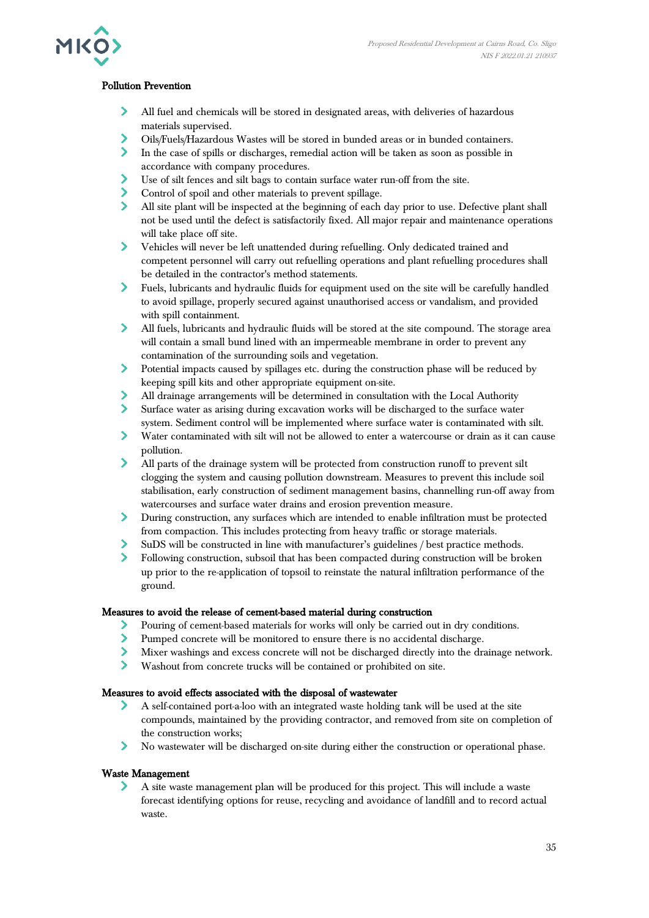

### Pollution Prevention

- All fuel and chemicals will be stored in designated areas, with deliveries of hazardous materials supervised.
- $\blacktriangleright$ Oils/Fuels/Hazardous Wastes will be stored in bunded areas or in bunded containers.
- $\sum$ In the case of spills or discharges, remedial action will be taken as soon as possible in accordance with company procedures.
- ≻ Use of silt fences and silt bags to contain surface water run-off from the site.
- Control of spoil and other materials to prevent spillage.
- All site plant will be inspected at the beginning of each day prior to use. Defective plant shall not be used until the defect is satisfactorily fixed. All major repair and maintenance operations will take place off site.
- $\blacktriangleright$ Vehicles will never be left unattended during refuelling. Only dedicated trained and competent personnel will carry out refuelling operations and plant refuelling procedures shall be detailed in the contractor's method statements.
- Fuels, lubricants and hydraulic fluids for equipment used on the site will be carefully handled to avoid spillage, properly secured against unauthorised access or vandalism, and provided with spill containment.
- ≻ All fuels, lubricants and hydraulic fluids will be stored at the site compound. The storage area will contain a small bund lined with an impermeable membrane in order to prevent any contamination of the surrounding soils and vegetation.
- $\blacktriangleright$ Potential impacts caused by spillages etc. during the construction phase will be reduced by keeping spill kits and other appropriate equipment on-site.
- All drainage arrangements will be determined in consultation with the Local Authority
- $\blacktriangleright$ Surface water as arising during excavation works will be discharged to the surface water system. Sediment control will be implemented where surface water is contaminated with silt.
- $\blacktriangleright$ Water contaminated with silt will not be allowed to enter a watercourse or drain as it can cause pollution.
- $\blacktriangleright$ All parts of the drainage system will be protected from construction runoff to prevent silt clogging the system and causing pollution downstream. Measures to prevent this include soil stabilisation, early construction of sediment management basins, channelling run-off away from watercourses and surface water drains and erosion prevention measure.
- $\sum_{i=1}^{n}$ During construction, any surfaces which are intended to enable infiltration must be protected from compaction. This includes protecting from heavy traffic or storage materials.
- SuDS will be constructed in line with manufacturer's guidelines / best practice methods.
- $\blacktriangleright$ Following construction, subsoil that has been compacted during construction will be broken up prior to the re-application of topsoil to reinstate the natural infiltration performance of the ground.

### Measures to avoid the release of cement-based material during construction

- Pouring of cement-based materials for works will only be carried out in dry conditions.  $\blacktriangleright$
- $\blacktriangleright$ Pumped concrete will be monitored to ensure there is no accidental discharge.
- $\blacktriangleright$ Mixer washings and excess concrete will not be discharged directly into the drainage network.
- $\blacktriangleright$ Washout from concrete trucks will be contained or prohibited on site.

### Measures to avoid effects associated with the disposal of wastewater

- $\blacktriangleright$ A self-contained port-a-loo with an integrated waste holding tank will be used at the site compounds, maintained by the providing contractor, and removed from site on completion of the construction works;
- $\blacktriangleright$ No wastewater will be discharged on-site during either the construction or operational phase.

### Waste Management

A site waste management plan will be produced for this project. This will include a waste forecast identifying options for reuse, recycling and avoidance of landfill and to record actual waste.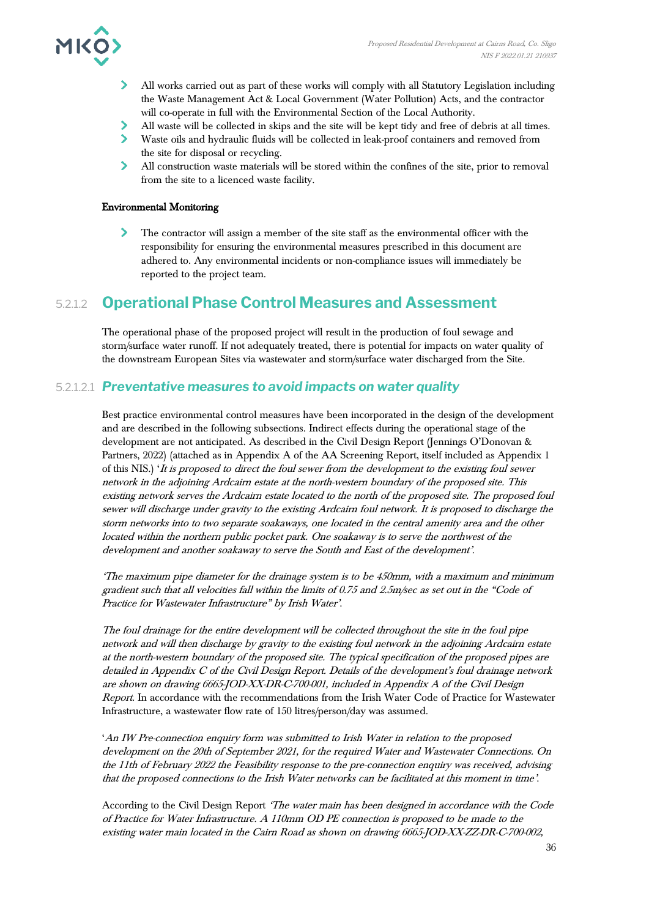

- All works carried out as part of these works will comply with all Statutory Legislation including the Waste Management Act & Local Government (Water Pollution) Acts, and the contractor will co-operate in full with the Environmental Section of the Local Authority.
- All waste will be collected in skips and the site will be kept tidy and free of debris at all times.
- $\blacktriangleright$ Waste oils and hydraulic fluids will be collected in leak-proof containers and removed from the site for disposal or recycling.
- $\sum$ All construction waste materials will be stored within the confines of the site, prior to removal from the site to a licenced waste facility.

### Environmental Monitoring

The contractor will assign a member of the site staff as the environmental officer with the responsibility for ensuring the environmental measures prescribed in this document are adhered to. Any environmental incidents or non-compliance issues will immediately be reported to the project team.

### 5.2.1.2 **Operational Phase Control Measures and Assessment**

The operational phase of the proposed project will result in the production of foul sewage and storm/surface water runoff. If not adequately treated, there is potential for impacts on water quality of the downstream European Sites via wastewater and storm/surface water discharged from the Site.

### 5.2.1.2.1 *Preventative measures to avoid impacts on water quality*

Best practice environmental control measures have been incorporated in the design of the development and are described in the following subsections. Indirect effects during the operational stage of the development are not anticipated. As described in the Civil Design Report (Jennings O'Donovan & Partners, 2022) (attached as in Appendix A of the AA Screening Report, itself included as Appendix 1 of this NIS.) 'It is proposed to direct the foul sewer from the development to the existing foul sewer network in the adjoining Ardcairn estate at the north-western boundary of the proposed site. This existing network serves the Ardcairn estate located to the north of the proposed site. The proposed foul sewer will discharge under gravity to the existing Ardcairn foul network. It is proposed to discharge the storm networks into to two separate soakaways, one located in the central amenity area and the other located within the northern public pocket park. One soakaway is to serve the northwest of the development and another soakaway to serve the South and East of the development'.

'The maximum pipe diameter for the drainage system is to be 450mm, with a maximum and minimum gradient such that all velocities fall within the limits of 0.75 and 2.5m/sec as set out in the "Code of Practice for Wastewater Infrastructure" by Irish Water'.

The foul drainage for the entire development will be collected throughout the site in the foul pipe network and will then discharge by gravity to the existing foul network in the adjoining Ardcairn estate at the north-western boundary of the proposed site. The typical specification of the proposed pipes are detailed in Appendix C of the Civil Design Report. Details of the development's foul drainage network are shown on drawing 6665-JOD-XX-DR-C-700-001, included in Appendix A of the Civil Design Report. In accordance with the recommendations from the Irish Water Code of Practice for Wastewater Infrastructure, a wastewater flow rate of 150 litres/person/day was assumed.

'An IW Pre-connection enquiry form was submitted to Irish Water in relation to the proposed development on the 20th of September 2021, for the required Water and Wastewater Connections. On the 11th of February 2022 the Feasibility response to the pre-connection enquiry was received, advising that the proposed connections to the Irish Water networks can be facilitated at this moment in time'.

According to the Civil Design Report 'The water main has been designed in accordance with the Code of Practice for Water Infrastructure. A 110mm OD PE connection is proposed to be made to the existing water main located in the Cairn Road as shown on drawing 6665-JOD-XX-ZZ-DR-C-700-002,